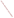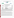## **THE ENVIRONMENTAL TECHNOLOGY VERIFICATION**







# **ETV Joint Verification Statement**

|                                                 | <b>TECHNOLOGY TYPE:</b> Rapid Polymerase Chain Reaction      |      |                     |  |  |
|-------------------------------------------------|--------------------------------------------------------------|------|---------------------|--|--|
| <b>APPLICATION:</b>                             | DETECTING BIOLOGICAL AGENTS AND<br><b>PATHOGENS IN WATER</b> |      |                     |  |  |
| TECHNOLOGY NAME: R.A.P.I.D. <sup>®</sup> System |                                                              |      |                     |  |  |
| <b>COMPANY:</b>                                 | <b>Idaho Technology Inc.</b>                                 |      |                     |  |  |
| <b>ADDRESS:</b>                                 | 390 Wakara Way                                               |      | PHONE: 801-736-6354 |  |  |
|                                                 | Salt Lake City, Utah 84108                                   | FAX: | 801-588-0507        |  |  |
| <b>WEB SITE:</b>                                | www.idahotech.com/rapid                                      |      |                     |  |  |
| $E\text{-}MAIL:$                                | matts@idahotech.com                                          |      |                     |  |  |

The U.S. Environmental Protection Agency (EPA) supports the Environmental Technology Verification (ETV) Program to facilitate the deployment of innovative or improved environmental technologies through performance verification and dissemination of information. The goal of the ETV Program is to further environmental protection by accelerating the acceptance and use of improved and cost-effective technologies. ETV seeks to achieve this goal by providing high-quality, peer-reviewed data on technology performance to those involved in the design, distribution, financing, permitting, purchase, and use of environmental technologies. Information and ETV documents are available at www.epa.gov/etv.

ETV works in partnership with recognized standards and testing organizations, with stakeholder groups (consisting of buyers, vendor organizations, and permitters), and with individual technology developers. The program evaluates the performance of innovative technologies by developing test plans that are responsive to the needs of stakeholders, conducting field or laboratory tests (as appropriate), collecting and analyzing data, and preparing peer-reviewed reports. All evaluations are conducted in accordance with rigorous quality assurance (QA) protocols to ensure that data of known and adequate quality are generated and that the results are defensible.

The Advanced Monitoring Systems (AMS) Center, one of six verification centers under ETV, is operated by Battelle in cooperation with EPA's National Exposure Research Laboratory. The AMS Center has recently evaluated the performance of rapid polymerase chain reaction (PCR) systems to detect bacteria in water. This verification statement provides a summary of the test results for the Idaho Technology Inc.'s (ITI's) Ruggedized Advanced Pathogen Identification Device (R.A.P.I.D.®) System for the detection of *Francisella tularensis* (*F. tularensis*), *Yersinia pestis* (*Y. pestis*), *Bacillus anthracis* (*B. anthracis*), *Brucella suis*, and *Escherichia coli (E. coli)*.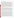#### **VERIFICATION TEST DESCRIPTION**

The R.A.P.I.D.® System was evaluated between May 27 and July 8, 2004, using *F. tularensis* LVS [American Type Culture Collection (ATCC)# 29684], *Y. pestis* CO92, *B. anthracis* Ames strain, *Brucella suis*  (ATCC#23444), and *E. coli* O157:H7. The performance of the R.A.P.I.D.® System was verified in terms of its accuracy, specificity, number of false positive/negative responses, precision, interferences, ease of use, and sample throughput. Performance test (PT) samples, drinking water (DW) samples, and quality control (QC) samples were used in the verification test for each bacteria. PT samples included individual bacteria spiked into American Society of Testing and Materials (ASTM) Type II deionized (DI) water at 2, 5, 10, and 50 times the vendor-stated system limit of detection (LOD), as well as the infective/lethal dose for each contaminant. PT samples also included potential interferent samples containing a single concentration (10 times the system LOD) of the contaminant of interest in the presence of fulvic and humic acids [at 0.5 milligram (mg)/liter (L) each and 2.5 mg/L each] spiked into ASTM Type II DI water. Interferent samples were also analyzed without the addition of any bacteria. DW samples consisted of chlorinated filtered surface water, chloraminated filtered surface water, chlorinated filtered groundwater, and chlorinated unfiltered surface water collected from four geographically distributed municipal sources. DW samples were analyzed without adding contaminant and after fortification with each individual bacteria at a single concentration level (10 times the vendor-stated system LOD). QC samples included method blank samples and positive and negative controls, as supplied with the R.A.P.I.D.® System. For all contaminants, plate enumerations were performed in triplicate to confirm the concentration of the stock solution of each bacteria prior to testing.

For the purposes of this test, 1,000 colony forming units per milliliter (cfu/mL) were used to calculate the concentration levels spiked into the PT and DW samples.. This vendor-provided concentration level was anticipated to be the level at which quantifiably reproducible positive results could be obtained from a raw water sample using the R.A.P.I.D.<sup>®</sup> System. This concentration level is referred to as the "system LOD." The system LOD incorporates the sensitivities and uncertainties of the entire R.A.P.I.D.<sup>®</sup> System, in particular the ITI 1-2-3 Flow Kit deoxyribonucleic acid (DNA) purification step, as well as the ITI freeze-dried reagents; and, as such, it is a method detection limit rather than an instrument or reagent-specific detection limit. As mentioned previously, the system LOD provided by the vendor was used specifically as a guideline in calculating sample concentration ranges for use with the R.A.P.I.D.<sup>®</sup> System in this verification test, and it should be noted that Idaho Technology Inc. does not claim this to be the true LOD of the R.A.P.I.D.<sup>®</sup> System. Detection limits for individual components of the R.A.P.I.D.<sup>®</sup> System and the system as a whole may differ and were not verified in this test.

Samples were spiked individually with each bacteria (*F. tularensis, Y. pestis*, *B. anthracis*, *Brucella suis*, and *E. coli*) at  $2\times10^3$  cfu/mL,  $5\times10^3$  cfu/mL,  $1\times10^4$  cfu/mL, and  $5\times10^4$  cfu/mL for PT samples and  $1\times10^4$  cfu/mL for interferent and DW samples. The infective/lethal dose of each contaminant was determined by calculating the concentration at which ingestion of 250 mL of water is likely to cause the death of a 70-kilogram person based on human LD<sub>50</sub> or ID<sub>50</sub> data. The infective/lethal doses for *F. tularensis, Y. pestis, B. anthracis, Brucella suis,* and *E. coli* were  $4\times10^5$  cfu/mL, 0.28 cfu/mL, 200 cfu/mL, 40 cfu/mL, and 0.2 cfu/mL respectively. Samples were prepared in 5 mL quantities and tested blindly by trained Battelle operators who had prior PCR experience. To test a liquid sample for the presence of *F. tularensis, Y. pestis*, *B. anthracis*, *Brucella suis,* or *E. coli*, DNA was extracted and purified using the R.A.P.I.D.<sup>®</sup> System's ITI 1-2-3 Flow Kit, samples were prepared using the R.A.P.I.D.<sup>®</sup> System's freeze-dried reagents, and the samples were analyzed using the R.A.P.I.D.<sup>®</sup> 7200 instrument and software. Each reconstituted, freeze-dried reagent sample was split into two glass capillaries for analysis in duplicate on the R.A.P.I.D.® 7200 instrument. For *F. tularensis*, *Y. pestis*, and *B. anthracis*, more than one freezedried reagent target was used for the analysis of each bacteria. The system was only tested for one bacteria at a time. All samples were analyzed in quadruplicate from the same batch of purified DNA. The R.A.P.I.D.<sup>®</sup> System was evaluated for qualitative results only by monitoring the positive and negative controls along with the amplification curves and crossing points for each sample using the R.A.P.I.D.® 7200 software Second Derivative Maximum method. Only positive, negative, and inconclusive results were recorded. Inconclusive results occurred when the results from the two capillaries for the sample didn't agree with each other (i.e., one was positive and one was negative).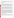QA oversight of verification testing was provided by Battelle and EPA. Battelle QA staff conducted a technical systems audit and a data quality audit of 10% of the test data. This verification statement, the full report on which it is based, and the test/QA plan for this verification are all available at www.epa.gov/etv/centers/center1.html.

### **TECHNOLOGY DESCRIPTION**

The following description of the R.A.P.I.D.<sup>®</sup> System was provided by the vendor and was not subjected to verification in this test.

The R.A.P.I.D.® System is an integrated three-part system for the timely detection and identification of pathogens and biowarfare agents, including anthrax, plague, salmonella, and botulism, in water. The system allows for rapid and specific presumptive identification of threat pathogens in hours rather than days. The system components consist of the ITI 1-2-3 Flow Kit for the purification of DNA, ITI target-specific freeze-dried reagents containing all the necessary ingredients for specific pathogen DNA detection, and the R.A.P.I.D.® 7200 instrument. The operator prepares the DNA from the environmental sample, hydrates the freeze-dried reagents with the DNA sample, runs the R.A.P.I.D. $^{\circ}$  7200 instrument, and then reads the auto-analyzed results using the R.A.P.I.D. $^{\circ}$ software.

The ITI 1-2-3 Flow Kit is a three-step DNA extraction and purification kit that contains the components for purifying DNA from water or other environmental matrix. It removes inhibitors from a sample that would adversely affect a reaction and has been optimized for purifying DNA from difficult-to-process anthrax spores, as well as non-spore forming bacteria. Each kit is optimized and validated for the R.A.P.I.D.<sup>®</sup> 7200 instrument and contains all the ingredients necessary for DNA purification (one 30 mL, one 20 mL, and one 25 mL buffer; 50 bead tubes with lysis buffer; 50 spin filters; 200 receiver tubes; and 50 swabs). The ITI freeze-dried reagents (hybridization probe reagents) are freeze-dried in a single tube and require no refrigeration or freezing. There are multiple gene targets for assay confirmation, with the additional backup of melting curve analysis to confirm any suspected positive test.

The R.A.P.I.D.® 7200 instrument is a field-hardened, air-driven, real-time thermocycler with concurrent fluorescence monitoring that is capable of automatically analyzing samples for the presence of any given DNA sequence. The R.A.P.I.D.<sup>®</sup> 7200 instrument is based on LightCycler technology and is capable of 45 PCR cycles in 30 minutes. It has three color optics, can run on either 110 or 220 volt power, and is watertight in its case. R.A.P.I.D.® software allows the user to automatically collect and interpret data and report results. The software has two user levels, with simple push-button software and auto-analysis or with all the features of the original laboratory instrument for advanced real-time analysis. The R.A.P.I.D.<sup>®</sup> 7200 instrument is a 50-pound (22.7-kg), portable commercial off-the-shelf system. It operates in various environmental conditions (heat, humidity, salt spray) and has passed a one-meter drop test. The R.A.P.I.D.<sup>®</sup> instrument includes a backpack, laptop computer, microcentrifuge, and sample capillaries. Its dimensions are 19.4 inches [49.3 centimeters (cm)] by 14.3 inches (36.3 cm) by 10.5 inches (26.7 cm), and its cost is \$55,000 U.S., including the centrifuge and laptop. Sample preparation using the ITI 1-2-3 Flow Kit costs approximately \$8 per sample, and testing the samples using the freeze-dried reagents costs approximately \$17 per sample.

## **VERIFICATION OF PERFORMANCE**

**Accuracy:** Accuracy was assessed by evaluating how often the R.A.P.I.D.® System results were positive in the presence of a concentration of contaminant above the system LOD. Contaminant-only PT samples were used for this analysis. An overall percent agreement was determined by dividing the number of positive responses by the overall number of analyses of contaminant-only PT samples above the system LOD. The results are presented in the table below.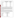| <b>Bacteria</b>               | <b>Concentration Range of Samples</b><br><b>Used in Accuracy Calculations</b><br>(cfu/mL) | <b>Overall Accuracy</b><br>(Positive Results Out of Total<br><b>Replicates</b> ) |
|-------------------------------|-------------------------------------------------------------------------------------------|----------------------------------------------------------------------------------|
| <i>F. tularensis</i> Target 1 | $2\times10^3$ to $4\times10^5$                                                            | 100% (20/20)                                                                     |
| F. tularensis Target 2        | $2\times10^3$ to $4\times10^5$                                                            | 100% (20/20)                                                                     |
| <i>Y. pestis</i> Target 1     | $2\times10^3$ to $5\times10^4$                                                            | $100\%$ (16/16)                                                                  |
| <i>Y. pestis</i> Target 2     | $2\times10^3$ to $5\times10^4$                                                            | $100\%$ (16/16)                                                                  |
| <i>B. anthracis</i> Target 1  | $2\times10^3$ to $5\times10^4$                                                            | 94% (15/16)                                                                      |
| <b>B.</b> anthracis Target 2  | $2\times10^3$ to $5\times10^4$                                                            | 94% (15/16)                                                                      |
| <b>B.</b> anthracis Target 3  | $2\times10^3$ to $5\times10^4$                                                            | $100\%$ (16/16)                                                                  |
| Brucella suis                 | $2\times10^3$ to $5\times10^4$                                                            | 88% (14/16)                                                                      |
| E. coli                       | $2\times10^3$ to $5\times10^4$                                                            | $100\%$ (16/16)                                                                  |

For *F. tularensis* (both targets), *Y. pestis* (both targets), *B. anthracis* Target 3, and *E. coli*, all samples at concentration levels above the vendor-stated system LOD generated positive responses for each set of replicates, resulting in 100% agreement for the overall accuracy of the R.A.P.I.D.<sup>®</sup> System for each bacteria. One replicate at  $2\times10^3$  cfu/mL for *B. anthracis* Target 1 reagents resulted in an inconclusive response; one replicate at  $2\times10^3$ cfu/mL for *B. anthracis* Target 2 reagents resulted in a negative response; and two replicates at  $2\times10^3$  cfu/mL for *Brucella suis* reagents resulted in inconclusive responses; all other replicates at each level for each bacteria produced positive results. The infective/lethal doses for *Y. pestis* (0.28 cfu/mL), *B. anthracis* (200 cfu/mL), *Brucella suis* (40 cfu/mL), and *E. coli* (0.2 cfu/mL) were below the system LOD and not included in the accuracy calculations for those bacteria.

**Specificity:** The ability of the R.A.P.I.D.<sup>®</sup> System to provide a negative response when the contaminant was absent was assessed. The specificity rate was determined by dividing the number of negative responses by the total number of unspiked samples. Unspiked interferent PT samples and unspiked DW samples were used to assess specificity. The results are presented in the table below. For *F. tularensis* Target 1, three of the replicates for unspiked 2.5 mg/L humic and fulvic acids produced inconclusive results. For *F. tularensis* Target 2, one unspiked DW replicate produced an inconclusive response. The results for all other bacteria were negative for all unspiked samples.

| <b>Bacteria</b>               | <b>Overall Specificity</b><br>(Negative Results Out of Total Replicates) |  |  |
|-------------------------------|--------------------------------------------------------------------------|--|--|
| <i>F. tularensis</i> Target 1 | 88% (21/24)                                                              |  |  |
| <i>F. tularensis</i> Target 2 | 96% (23/24)                                                              |  |  |
| Y. pestis Target 1            | 100% (24/24)                                                             |  |  |
| <i>Y. pestis</i> Target 2     | 100% (24/24)                                                             |  |  |
| B. anthracis Target 1         | 100% (24/24)                                                             |  |  |
| <b>B.</b> anthracis Target 2  | 100% (24/24)                                                             |  |  |
| <b>B.</b> anthracis Target 3  | 100% (24/24)                                                             |  |  |
| Brucella suis                 | 100% (24/24)                                                             |  |  |
| E. coli                       | 100% (24/24)                                                             |  |  |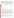**False positive/negative responses:** A false positive response was defined as a detectable or positive R.A.P.I.D.® System response when the interferent PT samples or DW samples were not spiked. The false positive rate was reported as the frequency of false positive results out of the total number of unspiked samples. The false negative response was defined as a negative response when the sample was spiked with a contaminant at a concentration greater than the system LOD. Spiked PT (contaminant and interferent) samples and spiked DW samples were included in the analysis. The false negative rate was reported as the frequency of false negative results out of the total number of spiked samples for a particular contaminant. Inconclusive results were considered neither positive nor negative and were thus not counted as false positives or false negatives. The results are presented in the table below.

| <b>Bacteria</b>               | <b>False Positive Rate</b> | <b>False Negative Rate</b> |
|-------------------------------|----------------------------|----------------------------|
| <i>F. tularensis</i> Target 1 | 0/24                       | 0/60                       |
| F. tularensis Target 2        | 0/24                       | 4/60                       |
| <i>Y. pestis</i> Target 1     | 0/24                       | 0/56                       |
| Y. pestis Target 2            | 0/24                       | 0/56                       |
| <b>B.</b> anthracis Target 1  | 0/24                       | 2/56                       |
| <b>B.</b> anthracis Target 2  | 0/24                       | 2/56                       |
| <b>B.</b> anthracis Target 3  | 0/24                       | 0/56                       |
| Brucella suis                 | 0/24                       | 0/56                       |
| E. coli                       | 0/24                       | 0/52                       |

No false positives were found for any of the sample matrices for any bacteria. Three unspiked interferent PT sample replicates showed inconclusive results for *F. tularensis* Target 1. Inconclusive results were also found for one replicate in unspiked DW using *F. tularensis* Target 2.

Four false negatives were found for *F. tularensis* Target 2: one in a set of replicates for spiked interferent PT samples, and three in a set of replicates for spiked DW. Inconclusive results were also found for one replicate in spiked DW for this target. One replicate for spiked DW in each of two different DW samples produced a false negative result for *B. anthracis* Target 1. One replicate each for two different spiked DW samples and spiked DI water at  $2\times10^3$  cfu/mL produced inconclusive results for *B. anthracis* Target 1. Samples analyzed using *B. anthracis* Target 2 also had two false negatives: one replicate of  $2 \times 10^3$  cfu/mL *B. anthracis* in DI water and one replicate of spiked DW. Two inconclusive results were also found for spiked DW replicates using *B. anthracis*  Target 2 reagents. *B. anthracis* Target 3 reported no false negative results, although four spiked DW replicates from one DW sample generated inconclusive results. Two inconclusive results were obtained for DI water spiked at 2×103 cfu/mL for *Brucella suis*.

**Precision:** The precision of the R.A.P.I.D.<sup>®</sup> System was assessed by calculating the overall percentage of consistent responses for all the sample sets. Responses were considered consistent if all responses of the four replicates were the same.

For *F. tularensis* Target 1 replicates, 95% of the sample sets (20 out of 21) showed consistent results; and for *F. tularensis* Target 2 replicates, 86% of the sample sets (18 out of 21) showed consistent results. The inconsistencies for the *F. tularensis* Target 1 resulted from inconclusive results for three interferent PT sample replicates; Target 2 inconsistencies resulted from an inconclusive DW replicate and a negative response for an